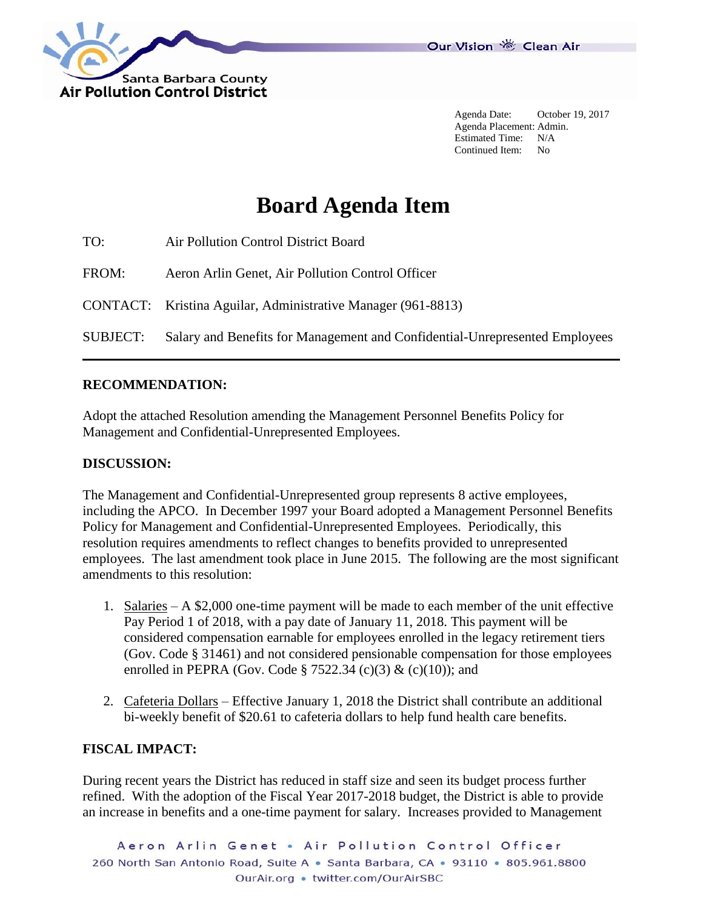

Agenda Date: October 19, 2017 Agenda Placement: Admin. Estimated Time: N/A Continued Item: No

# **Board Agenda Item**

| TO:             | Air Pollution Control District Board                                        |
|-----------------|-----------------------------------------------------------------------------|
| FROM:           | Aeron Arlin Genet, Air Pollution Control Officer                            |
|                 | CONTACT: Kristina Aguilar, Administrative Manager (961-8813)                |
| <b>SUBJECT:</b> | Salary and Benefits for Management and Confidential-Unrepresented Employees |

#### **RECOMMENDATION:**

Adopt the attached Resolution amending the Management Personnel Benefits Policy for Management and Confidential-Unrepresented Employees.

#### **DISCUSSION:**

The Management and Confidential-Unrepresented group represents 8 active employees, including the APCO. In December 1997 your Board adopted a Management Personnel Benefits Policy for Management and Confidential-Unrepresented Employees. Periodically, this resolution requires amendments to reflect changes to benefits provided to unrepresented employees. The last amendment took place in June 2015. The following are the most significant amendments to this resolution:

- 1. Salaries A \$2,000 one-time payment will be made to each member of the unit effective Pay Period 1 of 2018, with a pay date of January 11, 2018. This payment will be considered compensation earnable for employees enrolled in the legacy retirement tiers (Gov. Code § 31461) and not considered pensionable compensation for those employees enrolled in PEPRA (Gov. Code § 7522.34 (c)(3)  $\&$  (c)(10)); and
- 2. Cafeteria Dollars Effective January 1, 2018 the District shall contribute an additional bi-weekly benefit of \$20.61 to cafeteria dollars to help fund health care benefits.

# **FISCAL IMPACT:**

During recent years the District has reduced in staff size and seen its budget process further refined. With the adoption of the Fiscal Year 2017-2018 budget, the District is able to provide an increase in benefits and a one-time payment for salary. Increases provided to Management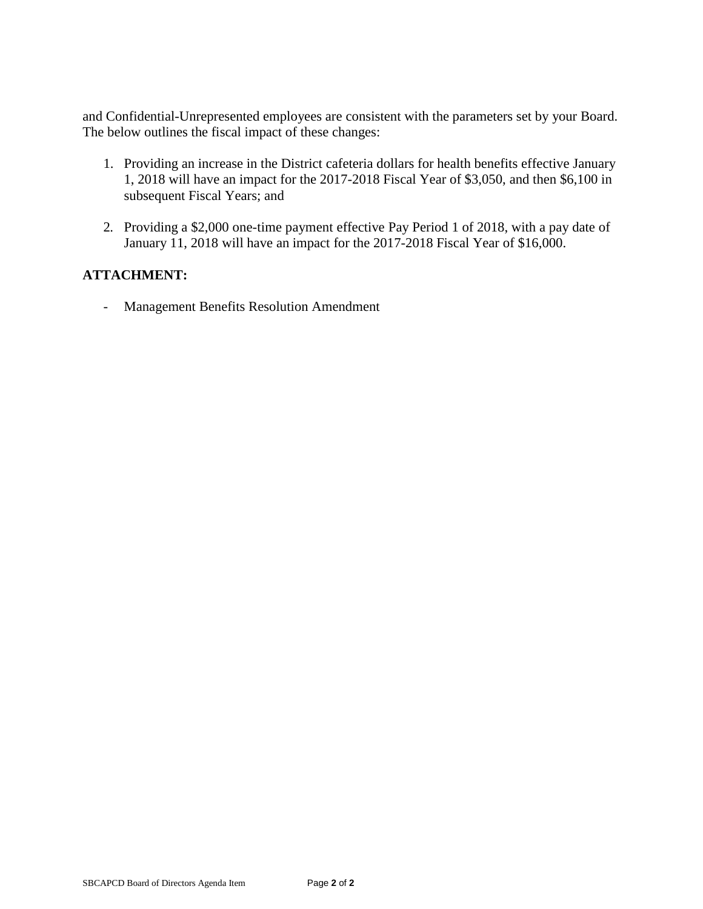and Confidential-Unrepresented employees are consistent with the parameters set by your Board. The below outlines the fiscal impact of these changes:

- 1. Providing an increase in the District cafeteria dollars for health benefits effective January 1, 2018 will have an impact for the 2017-2018 Fiscal Year of \$3,050, and then \$6,100 in subsequent Fiscal Years; and
- 2. Providing a \$2,000 one-time payment effective Pay Period 1 of 2018, with a pay date of January 11, 2018 will have an impact for the 2017-2018 Fiscal Year of \$16,000.

# **ATTACHMENT:**

- Management Benefits Resolution Amendment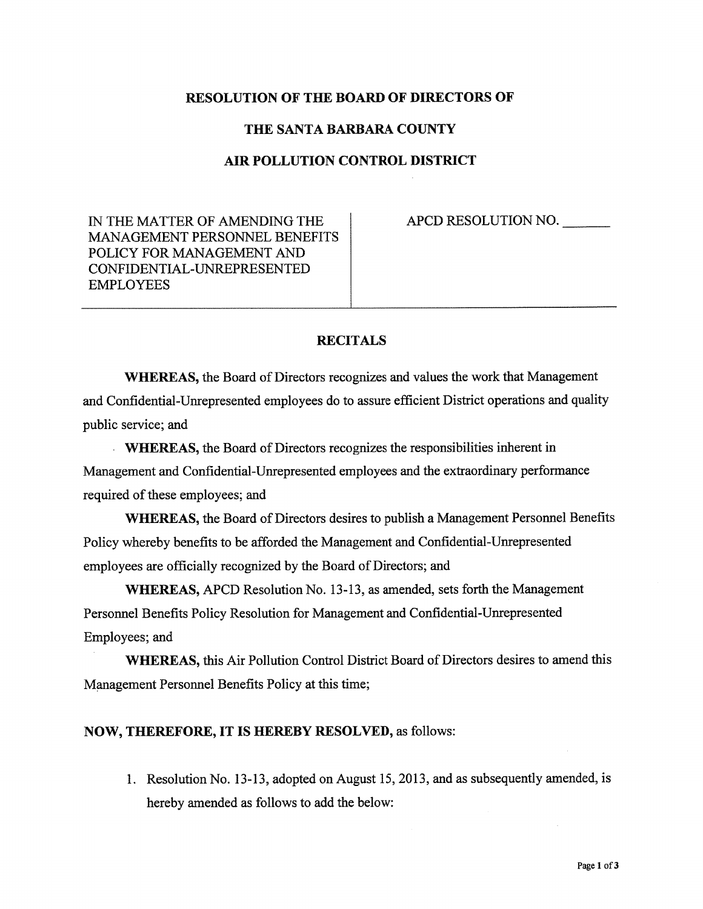### **RESOLUTION OF THE BOARD OF DIRECTORS OF**

## THE SANTA BARBARA COUNTY

#### AIR POLLUTION CONTROL DISTRICT

IN THE MATTER OF AMENDING THE MANAGEMENT PERSONNEL BENEFITS POLICY FOR MANAGEMENT AND CONFIDENTIAL-UNREPRESENTED **EMPLOYEES** 

APCD RESOLUTION NO.

## **RECITALS**

**WHEREAS**, the Board of Directors recognizes and values the work that Management and Confidential-Unrepresented employees do to assure efficient District operations and quality public service; and

**WHEREAS**, the Board of Directors recognizes the responsibilities inherent in Management and Confidential-Unrepresented employees and the extraordinary performance required of these employees; and

**WHEREAS, the Board of Directors desires to publish a Management Personnel Benefits** Policy whereby benefits to be afforded the Management and Confidential-Unrepresented employees are officially recognized by the Board of Directors; and

WHEREAS, APCD Resolution No. 13-13, as amended, sets forth the Management Personnel Benefits Policy Resolution for Management and Confidential-Unrepresented Employees; and

**WHEREAS, this Air Pollution Control District Board of Directors desires to amend this** Management Personnel Benefits Policy at this time;

#### NOW, THEREFORE, IT IS HEREBY RESOLVED, as follows:

1. Resolution No. 13-13, adopted on August 15, 2013, and as subsequently amended, is hereby amended as follows to add the below: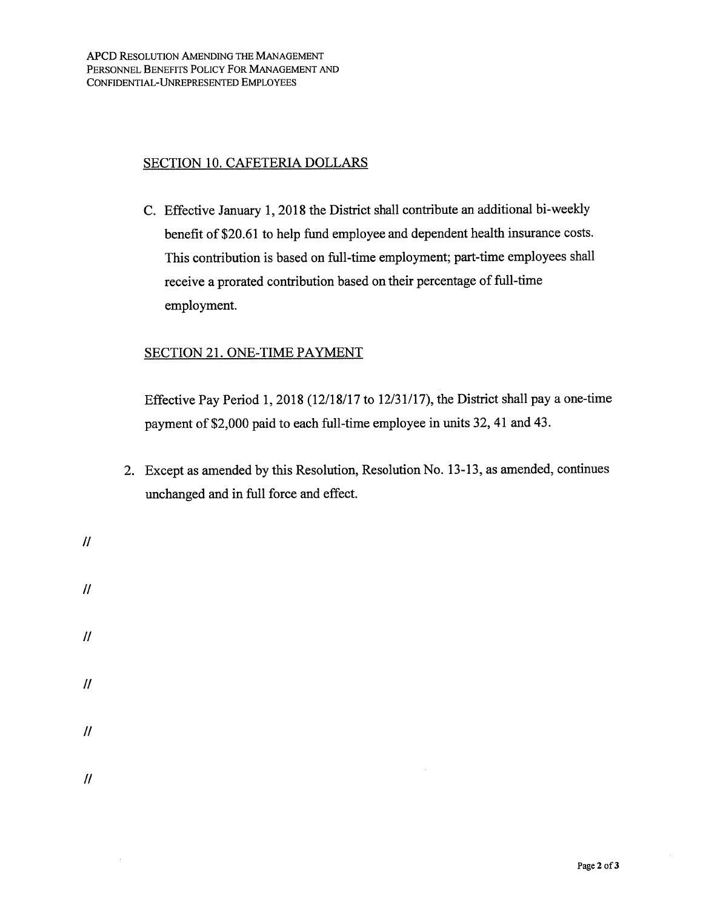APCD RESOLUTION AMENDING THE MANAGEMENT PERSONNEL BENEFITS POLICY FOR MANAGEMENT AND CONFIDENTIAL-UNREPRESENTED EMPLOYEES

## **SECTION 10. CAFETERIA DOLLARS**

C. Effective January 1, 2018 the District shall contribute an additional bi-weekly benefit of \$20.61 to help fund employee and dependent health insurance costs. This contribution is based on full-time employment; part-time employees shall receive a prorated contribution based on their percentage of full-time employment.

## **SECTION 21. ONE-TIME PAYMENT**

Effective Pay Period 1, 2018 (12/18/17 to 12/31/17), the District shall pay a one-time payment of \$2,000 paid to each full-time employee in units 32, 41 and 43.

- 2. Except as amended by this Resolution, Resolution No. 13-13, as amended, continues unchanged and in full force and effect.
- $\mathcal{U}$  $\overline{H}$  $\overline{H}$  $\mathcal{U}$  $\mathcal{U}$

 $\bar{z}$ 

 $\mathcal{U}$